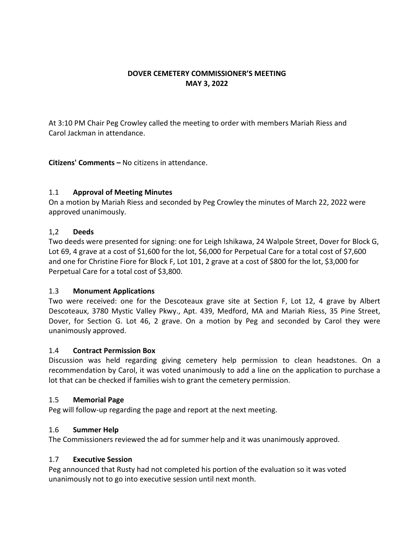# **DOVER CEMETERY COMMISSIONER'S MEETING MAY 3, 2022**

At 3:10 PM Chair Peg Crowley called the meeting to order with members Mariah Riess and Carol Jackman in attendance.

**Citizens' Comments –** No citizens in attendance.

## 1.1 **Approval of Meeting Minutes**

On a motion by Mariah Riess and seconded by Peg Crowley the minutes of March 22, 2022 were approved unanimously.

## 1,2 **Deeds**

Two deeds were presented for signing: one for Leigh Ishikawa, 24 Walpole Street, Dover for Block G, Lot 69, 4 grave at a cost of \$1,600 for the lot, \$6,000 for Perpetual Care for a total cost of \$7,600 and one for Christine Fiore for Block F, Lot 101, 2 grave at a cost of \$800 for the lot, \$3,000 for Perpetual Care for a total cost of \$3,800.

## 1.3 **Monument Applications**

Two were received: one for the Descoteaux grave site at Section F, Lot 12, 4 grave by Albert Descoteaux, 3780 Mystic Valley Pkwy., Apt. 439, Medford, MA and Mariah Riess, 35 Pine Street, Dover, for Section G. Lot 46, 2 grave. On a motion by Peg and seconded by Carol they were unanimously approved.

## 1.4 **Contract Permission Box**

Discussion was held regarding giving cemetery help permission to clean headstones. On a recommendation by Carol, it was voted unanimously to add a line on the application to purchase a lot that can be checked if families wish to grant the cemetery permission.

## 1.5 **Memorial Page**

Peg will follow-up regarding the page and report at the next meeting.

## 1.6 **Summer Help**

The Commissioners reviewed the ad for summer help and it was unanimously approved.

## 1.7 **Executive Session**

Peg announced that Rusty had not completed his portion of the evaluation so it was voted unanimously not to go into executive session until next month.